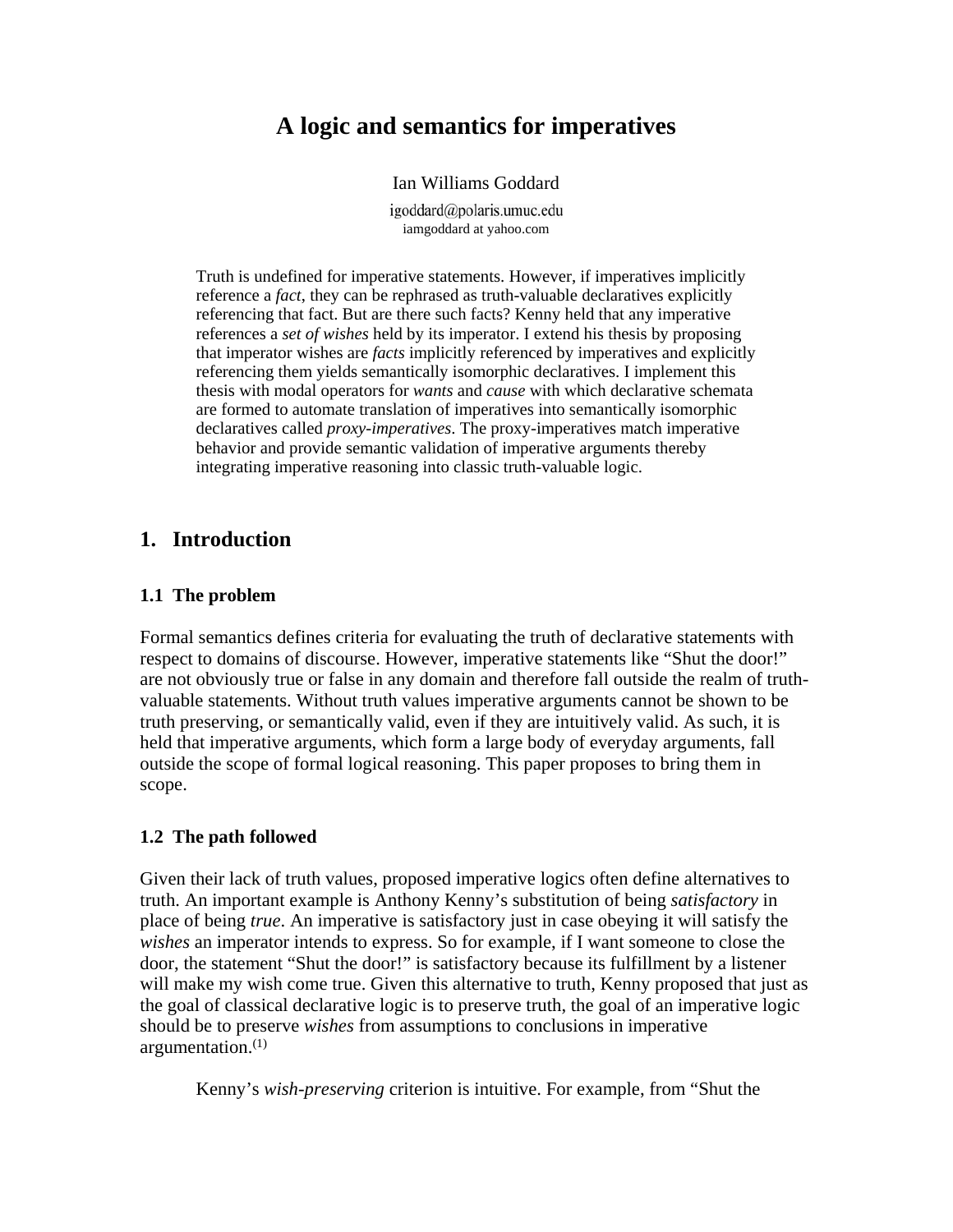# **A logic and semantics for imperatives**

#### Ian Williams Goddard

igoddard@polaris.umuc.edu iamgoddard at yahoo.com

Truth is undefined for imperative statements. However, if imperatives implicitly reference a *fact*, they can be rephrased as truth-valuable declaratives explicitly referencing that fact. But are there such facts? Kenny held that any imperative references a *set of wishes* held by its imperator. I extend his thesis by proposing that imperator wishes are *facts* implicitly referenced by imperatives and explicitly referencing them yields semantically isomorphic declaratives. I implement this thesis with modal operators for *wants* and *cause* with which declarative schemata are formed to automate translation of imperatives into semantically isomorphic declaratives called *proxy-imperatives*. The proxy-imperatives match imperative behavior and provide semantic validation of imperative arguments thereby integrating imperative reasoning into classic truth-valuable logic.

# **1. Introduction**

### **1.1 The problem**

Formal semantics defines criteria for evaluating the truth of declarative statements with respect to domains of discourse. However, imperative statements like "Shut the door!" are not obviously true or false in any domain and therefore fall outside the realm of truthvaluable statements. Without truth values imperative arguments cannot be shown to be truth preserving, or semantically valid, even if they are intuitively valid. As such, it is held that imperative arguments, which form a large body of everyday arguments, fall outside the scope of formal logical reasoning. This paper proposes to bring them in scope.

# **1.2 The path followed**

Given their lack of truth values, proposed imperative logics often define alternatives to truth. An important example is Anthony Kenny's substitution of being *satisfactory* in place of being *true*. An imperative is satisfactory just in case obeying it will satisfy the *wishes* an imperator intends to express. So for example, if I want someone to close the door, the statement "Shut the door!" is satisfactory because its fulfillment by a listener will make my wish come true. Given this alternative to truth, Kenny proposed that just as the goal of classical declarative logic is to preserve truth, the goal of an imperative logic should be to preserve *wishes* from assumptions to conclusions in imperative argumentation. $(1)$ 

Kenny's *wish-preserving* criterion is intuitive. For example, from "Shut the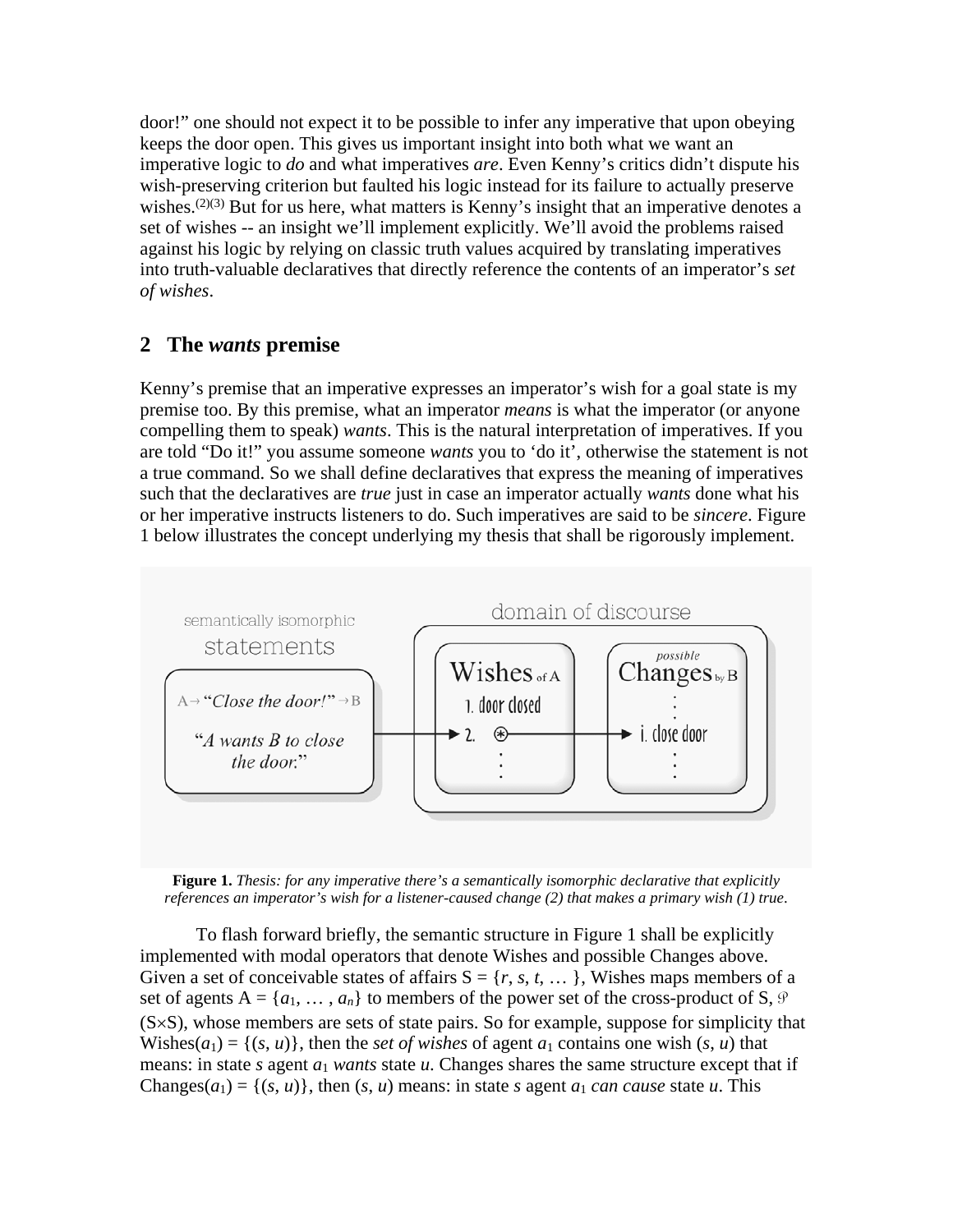door!" one should not expect it to be possible to infer any imperative that upon obeying keeps the door open. This gives us important insight into both what we want an imperative logic to *do* and what imperatives *are*. Even Kenny's critics didn't dispute his wish-preserving criterion but faulted his logic instead for its failure to actually preserve wishes.<sup> $(2)(3)$ </sup> But for us here, what matters is Kenny's insight that an imperative denotes a set of wishes -- an insight we'll implement explicitly. We'll avoid the problems raised against his logic by relying on classic truth values acquired by translating imperatives into truth-valuable declaratives that directly reference the contents of an imperator's *set of wishes*.

# **2 The** *wants* **premise**

Kenny's premise that an imperative expresses an imperator's wish for a goal state is my premise too. By this premise, what an imperator *means* is what the imperator (or anyone compelling them to speak) *wants*. This is the natural interpretation of imperatives. If you are told "Do it!" you assume someone *wants* you to 'do it', otherwise the statement is not a true command. So we shall define declaratives that express the meaning of imperatives such that the declaratives are *true* just in case an imperator actually *wants* done what his or her imperative instructs listeners to do. Such imperatives are said to be *sincere*. Figure 1 below illustrates the concept underlying my thesis that shall be rigorously implement.



**Figure 1.** *Thesis: for any imperative there's a semantically isomorphic declarative that explicitly references an imperator's wish for a listener-caused change (2) that makes a primary wish (1) true*.

To flash forward briefly, the semantic structure in Figure 1 shall be explicitly implemented with modal operators that denote Wishes and possible Changes above. Given a set of conceivable states of affairs  $S = \{r, s, t, \dots\}$ , Wishes maps members of a set of agents  $A = \{a_1, \ldots, a_n\}$  to members of the power set of the cross-product of S,  $\vartheta$ (S×S), whose members are sets of state pairs. So for example, suppose for simplicity that Wishes( $a_1$ ) = {( $s$ ,  $u$ )}, then the *set of wishes* of agent  $a_1$  contains one wish ( $s$ ,  $u$ ) that means: in state *s* agent *a*<sup>1</sup> *wants* state *u*. Changes shares the same structure except that if Changes( $a_1$ ) = {( $s$ ,  $u$ )}, then ( $s$ ,  $u$ ) means: in state  $s$  agent  $a_1$  *can cause* state  $u$ . This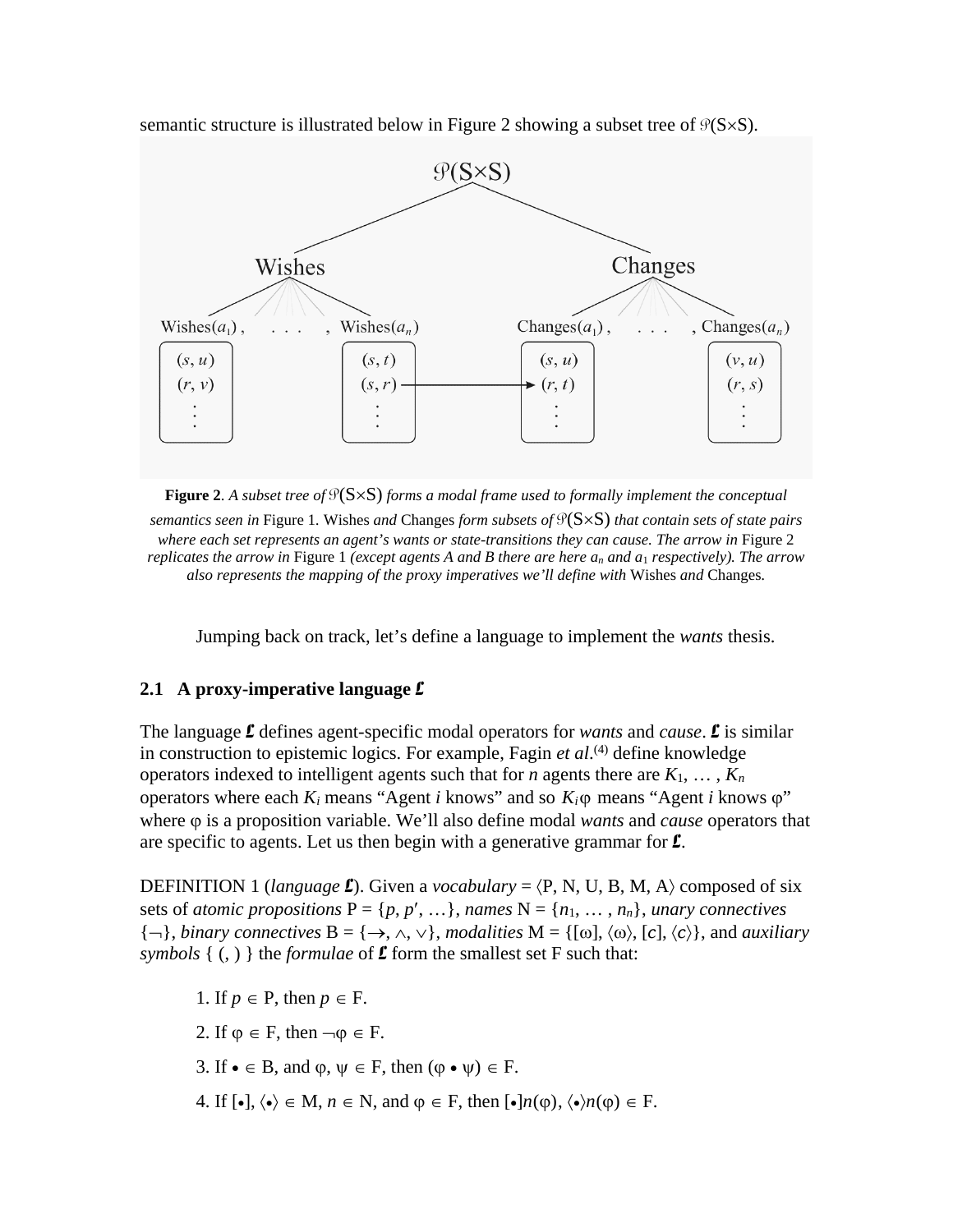semantic structure is illustrated below in Figure 2 showing a subset tree of  $\mathcal{P}(S \times S)$ .



**Figure 2**. *A subset tree of* P(S×S) *forms a modal frame used to formally implement the conceptual semantics seen in* Figure 1*.* Wishes *and* Changes *form subsets of* P(S×S) *that contain sets of state pairs where each set represents an agent's wants or state-transitions they can cause. The arrow in Figure 2 replicates the arrow in* Figure 1 *(except agents A and B there are here an and a*1 *respectively). The arrow also represents the mapping of the proxy imperatives we'll define with* Wishes *and* Changes*.*

Jumping back on track, let's define a language to implement the *wants* thesis.

#### **2.1 A proxy-imperative language** L

The language L defines agent-specific modal operators for *wants* and *cause*. L is similar in construction to epistemic logics. For example, Fagin *et al*. (4) define knowledge operators indexed to intelligent agents such that for *n* agents there are  $K_1, \ldots, K_n$ operators where each  $K_i$  means "Agent *i* knows" and so  $K_i$ φ means "Agent *i* knows φ" where ϕ is a proposition variable. We'll also define modal *wants* and *cause* operators that are specific to agents. Let us then begin with a generative grammar for  $\mathbf{\mathcal{L}}$ .

DEFINITION 1 (*language* **L**). Given a *vocabulary* =  $\langle P, N, U, B, M, A \rangle$  composed of six sets of *atomic propositions*  $P = \{p, p', \dots\}$ , *names*  $N = \{n_1, \dots, n_n\}$ , *unary connectives*  ${\{\neg\}}$ , *binary connectives*  $B = {\{\rightarrow, \land, \lor\}}$ , *modalities*  $M = {\{\{\omega\}, \langle \omega \rangle, \{\mathsf{c}\}, \langle \mathsf{c} \rangle\}}$ , and *auxiliary symbols*  $\{ (,) \}$  the *formulae* of  $\mathcal L$  form the smallest set F such that:

1. If  $p \in P$ , then  $p \in F$ . 2. If  $\varphi \in F$ , then  $\neg \varphi \in F$ . 3. If  $\bullet \in B$ , and  $\varphi, \psi \in F$ , then  $(\varphi \bullet \psi) \in F$ . 4. If  $[\bullet], \langle \bullet \rangle \in M$ ,  $n \in \mathbb{N}$ , and  $\varphi \in F$ , then  $[\bullet]n(\varphi), \langle \bullet \rangle n(\varphi) \in F$ .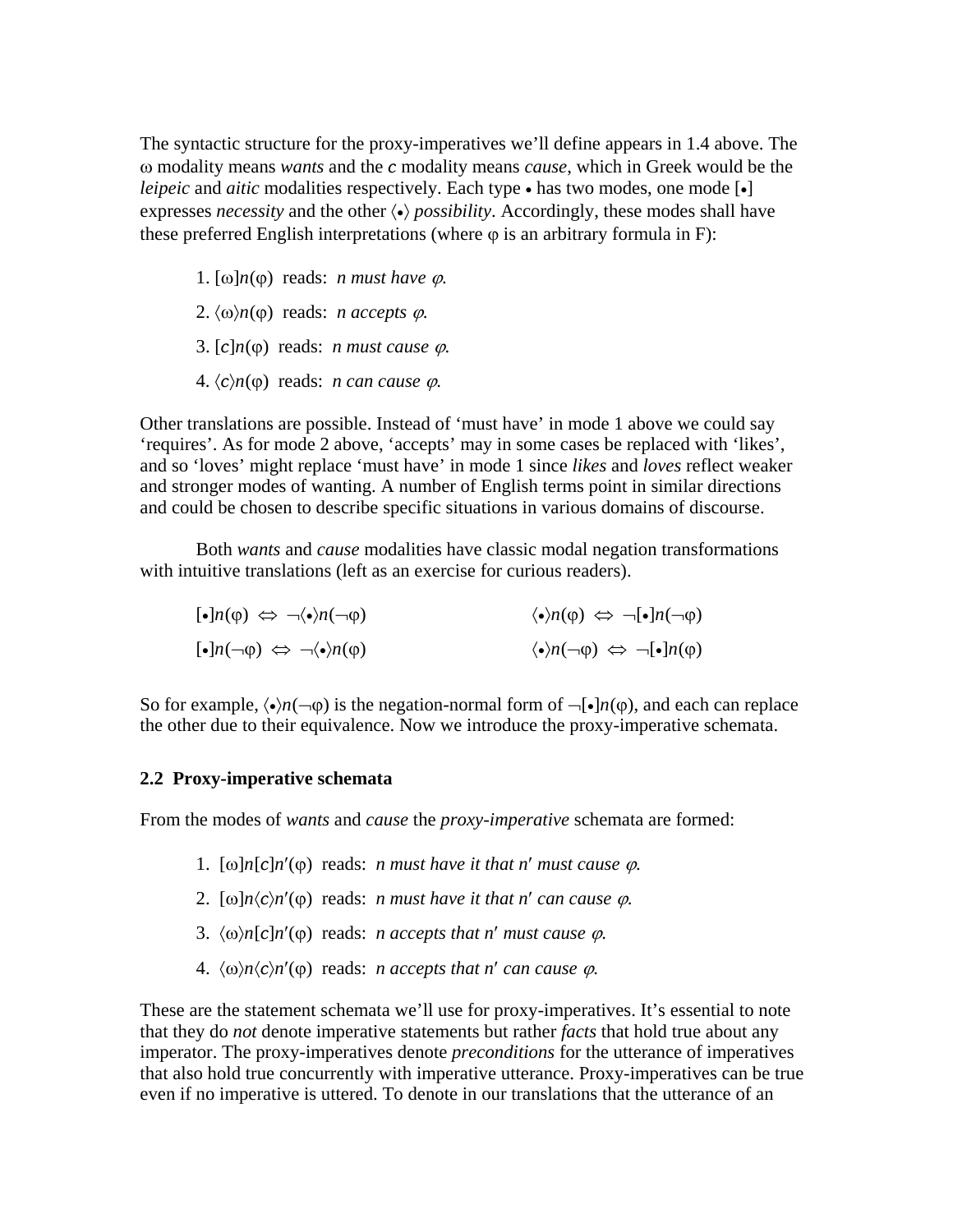The syntactic structure for the proxy-imperatives we'll define appears in 1.4 above. The ω modality means *wants* and the *c* modality means *cause*, which in Greek would be the *leipeic* and *aitic* modalities respectively. Each type • has two modes, one mode [•] expresses *necessity* and the other 〈•〉 *possibility*. Accordingly, these modes shall have these preferred English interpretations (where  $\varphi$  is an arbitrary formula in F):

- 1. [ω] $n(φ)$  reads: *n must have*  $φ$ *.*
- 2.  $\langle \omega \rangle n(\phi)$  reads: *n accepts*  $\varphi$ .
- 3.  $[c]n(\varphi)$  reads: *n must cause*  $\varphi$ .
- 4.  $\langle c \rangle n(\phi)$  reads: *n can cause*  $φ$ .

Other translations are possible. Instead of 'must have' in mode 1 above we could say 'requires'. As for mode 2 above, 'accepts' may in some cases be replaced with 'likes', and so 'loves' might replace 'must have' in mode 1 since *likes* and *loves* reflect weaker and stronger modes of wanting. A number of English terms point in similar directions and could be chosen to describe specific situations in various domains of discourse.

Both *wants* and *cause* modalities have classic modal negation transformations with intuitive translations (left as an exercise for curious readers).

| $\lbrack \bullet \rbrack n(\phi) \Leftrightarrow \neg \langle \bullet \rangle n(\neg \phi)$ | $\langle \bullet \rangle n(\phi) \Leftrightarrow \neg [\bullet] n(\neg \phi)$ |
|---------------------------------------------------------------------------------------------|-------------------------------------------------------------------------------|
| $\lbrack \bullet \rbrack n(\neg \phi) \Leftrightarrow \neg \langle \bullet \rangle n(\phi)$ | $\langle \bullet \rangle n(\neg \phi) \Leftrightarrow \neg [\bullet] n(\phi)$ |

So for example,  $\langle \bullet \rangle n(\neg \phi)$  is the negation-normal form of  $\neg \lceil \bullet \rceil n(\phi)$ , and each can replace the other due to their equivalence. Now we introduce the proxy-imperative schemata.

# **2.2 Proxy-imperative schemata**

From the modes of *wants* and *cause* the *proxy-imperative* schemata are formed:

- 1.  $[\omega]n[c]n'(\varphi)$  reads: *n* must have it that *n'* must cause  $\varphi$ .
- 2.  $\lceil \omega \rceil n \langle c \rangle n'(\phi)$  reads: *n must have it that n' can cause*  $\varphi$ *.*
- 3.  $\langle \omega \rangle n[c]n'(\omega)$  reads: *n accepts that n' must cause*  $\varphi$ *.*
- 4.  $\langle \omega \rangle n \langle c \rangle n'(\omega)$  reads: *n accepts that n' can cause*  $\varphi$ *.*

These are the statement schemata we'll use for proxy-imperatives. It's essential to note that they do *not* denote imperative statements but rather *facts* that hold true about any imperator. The proxy-imperatives denote *preconditions* for the utterance of imperatives that also hold true concurrently with imperative utterance. Proxy-imperatives can be true even if no imperative is uttered. To denote in our translations that the utterance of an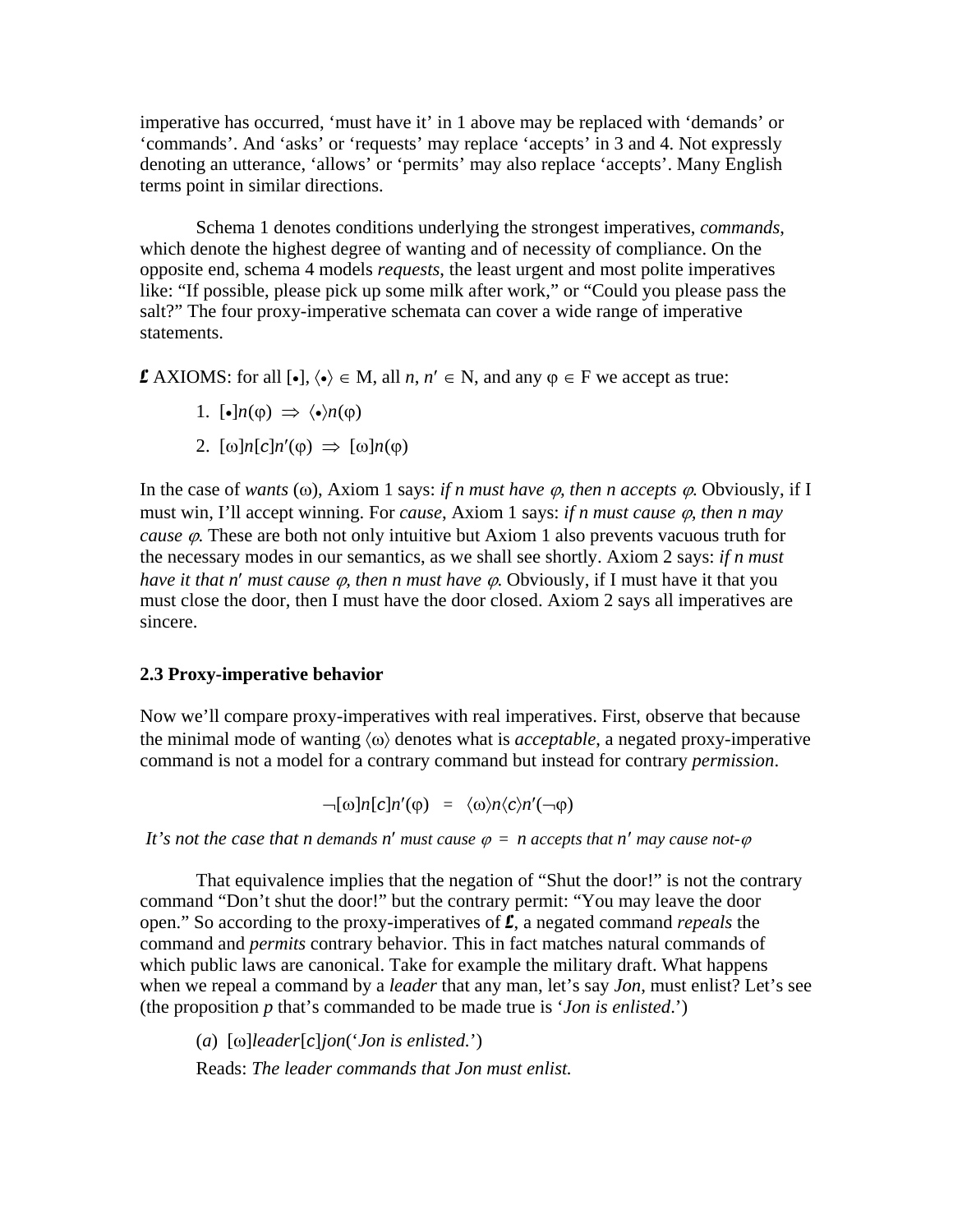imperative has occurred, 'must have it' in 1 above may be replaced with 'demands' or 'commands'. And 'asks' or 'requests' may replace 'accepts' in 3 and 4. Not expressly denoting an utterance, 'allows' or 'permits' may also replace 'accepts'. Many English terms point in similar directions.

Schema 1 denotes conditions underlying the strongest imperatives, *commands*, which denote the highest degree of wanting and of necessity of compliance. On the opposite end, schema 4 models *requests*, the least urgent and most polite imperatives like: "If possible, please pick up some milk after work," or "Could you please pass the salt?" The four proxy-imperative schemata can cover a wide range of imperative statements.

**£** AXIOMS: for all  $\left[ \bullet \right]$ ,  $\langle \bullet \rangle \in M$ , all *n*, *n'* ∈ N, and any  $\varphi \in F$  we accept as true:

- 1.  $\lceil \cdot \cdot \rceil n(\phi) \Rightarrow \langle \cdot \rangle n(\phi)$
- 2.  $\lceil \omega \rceil n \lceil c \rceil n'(\phi) \Rightarrow \lceil \omega \rceil n(\phi)$

In the case of *wants* ( $\omega$ ), Axiom 1 says: *if n must have*  $\varphi$ *, then n accepts*  $\varphi$ . Obviously, if I must win, I'll accept winning. For *cause*, Axiom 1 says: *if n must cause* ϕ*, then n may cause φ*. These are both not only intuitive but Axiom 1 also prevents vacuous truth for the necessary modes in our semantics, as we shall see shortly. Axiom 2 says: *if n must have it that n' must cause φ, then n must have φ*. Obviously, if I must have it that you must close the door, then I must have the door closed. Axiom 2 says all imperatives are sincere.

#### **2.3 Proxy-imperative behavior**

Now we'll compare proxy-imperatives with real imperatives. First, observe that because the minimal mode of wanting 〈ω〉 denotes what is *acceptable*, a negated proxy-imperative command is not a model for a contrary command but instead for contrary *permission*.

 $\neg[\omega]n[c]n'(\varphi) = \langle \omega \rangle n \langle c \rangle n'(\neg \varphi)$ 

*It's not the case that n demands n'* must cause  $\varphi = n$  accepts that n' may cause not- $\varphi$ 

That equivalence implies that the negation of "Shut the door!" is not the contrary command "Don't shut the door!" but the contrary permit: "You may leave the door open." So according to the proxy-imperatives of L, a negated command *repeals* the command and *permits* contrary behavior. This in fact matches natural commands of which public laws are canonical. Take for example the military draft. What happens when we repeal a command by a *leader* that any man, let's say *Jon*, must enlist? Let's see (the proposition *p* that's commanded to be made true is '*Jon is enlisted*.')

(*a*) [ω]*leader*[*c*]*jon*('*Jon is enlisted.*')

Reads: *The leader commands that Jon must enlist.*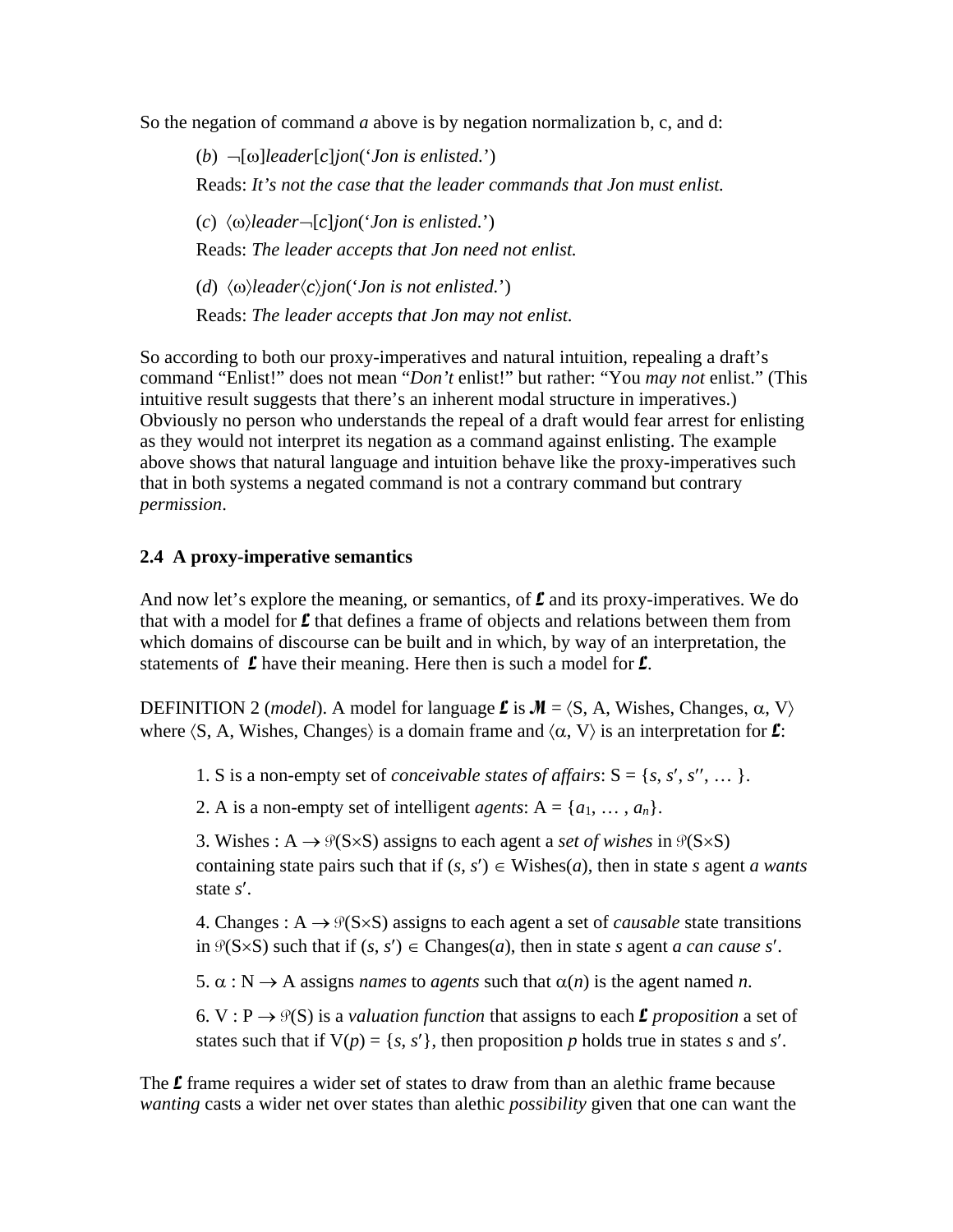So the negation of command *a* above is by negation normalization b, c, and d:

(*b*) ¬[ω]*leader*[*c*]*jon*('*Jon is enlisted.*') Reads: *It's not the case that the leader commands that Jon must enlist.* (*c*) 〈ω〉*leader*¬[*c*]*jon*('*Jon is enlisted.*') Reads: *The leader accepts that Jon need not enlist.* (*d*) 〈ω〉*leader*〈*c*〉*jon*('*Jon is not enlisted.*') Reads: *The leader accepts that Jon may not enlist.*

So according to both our proxy-imperatives and natural intuition, repealing a draft's command "Enlist!" does not mean "*Don't* enlist!" but rather: "You *may not* enlist." (This intuitive result suggests that there's an inherent modal structure in imperatives.) Obviously no person who understands the repeal of a draft would fear arrest for enlisting as they would not interpret its negation as a command against enlisting. The example above shows that natural language and intuition behave like the proxy-imperatives such that in both systems a negated command is not a contrary command but contrary *permission*.

# **2.4 A proxy-imperative semantics**

And now let's explore the meaning, or semantics, of  $\mathbf{\mathcal{L}}$  and its proxy-imperatives. We do that with a model for  $\mathbf f$  that defines a frame of objects and relations between them from which domains of discourse can be built and in which, by way of an interpretation, the statements of  $\mathcal L$  have their meaning. Here then is such a model for  $\mathcal L$ .

DEFINITION 2 *(model)*. A model for language **L** is  $M = \langle S, A, W \rangle$  changes, α, V) where  $\langle S, A, W$  ishes, Changes) is a domain frame and  $\langle \alpha, V \rangle$  is an interpretation for  $\mathcal{L}$ :

1. S is a non-empty set of *conceivable states of affairs*:  $S = \{s, s', s'', \dots\}$ .

2. A is a non-empty set of intelligent *agents*:  $A = \{a_1, \ldots, a_n\}.$ 

3. Wishes :  $A \rightarrow \mathcal{P}(S \times S)$  assigns to each agent a *set of wishes* in  $\mathcal{P}(S \times S)$ containing state pairs such that if  $(s, s') \in W$  is head *s* agent *a wants* state *s*′.

4. Changes :  $A \rightarrow \mathcal{P}(S \times S)$  assigns to each agent a set of *causable* state transitions in  $\mathcal{P}(S \times S)$  such that if  $(s, s') \in \text{Changes}(a)$ , then in state *s* agent *a can cause s'*.

5.  $\alpha : N \rightarrow A$  assigns *names* to *agents* such that  $\alpha(n)$  is the agent named *n*.

6. V :  $P \rightarrow \mathcal{P}(S)$  is a *valuation function* that assigns to each **L** *proposition* a set of states such that if  $V(p) = \{s, s'\}$ , then proposition *p* holds true in states *s* and *s'*.

The  $\mathbf f$  frame requires a wider set of states to draw from than an alethic frame because *wanting* casts a wider net over states than alethic *possibility* given that one can want the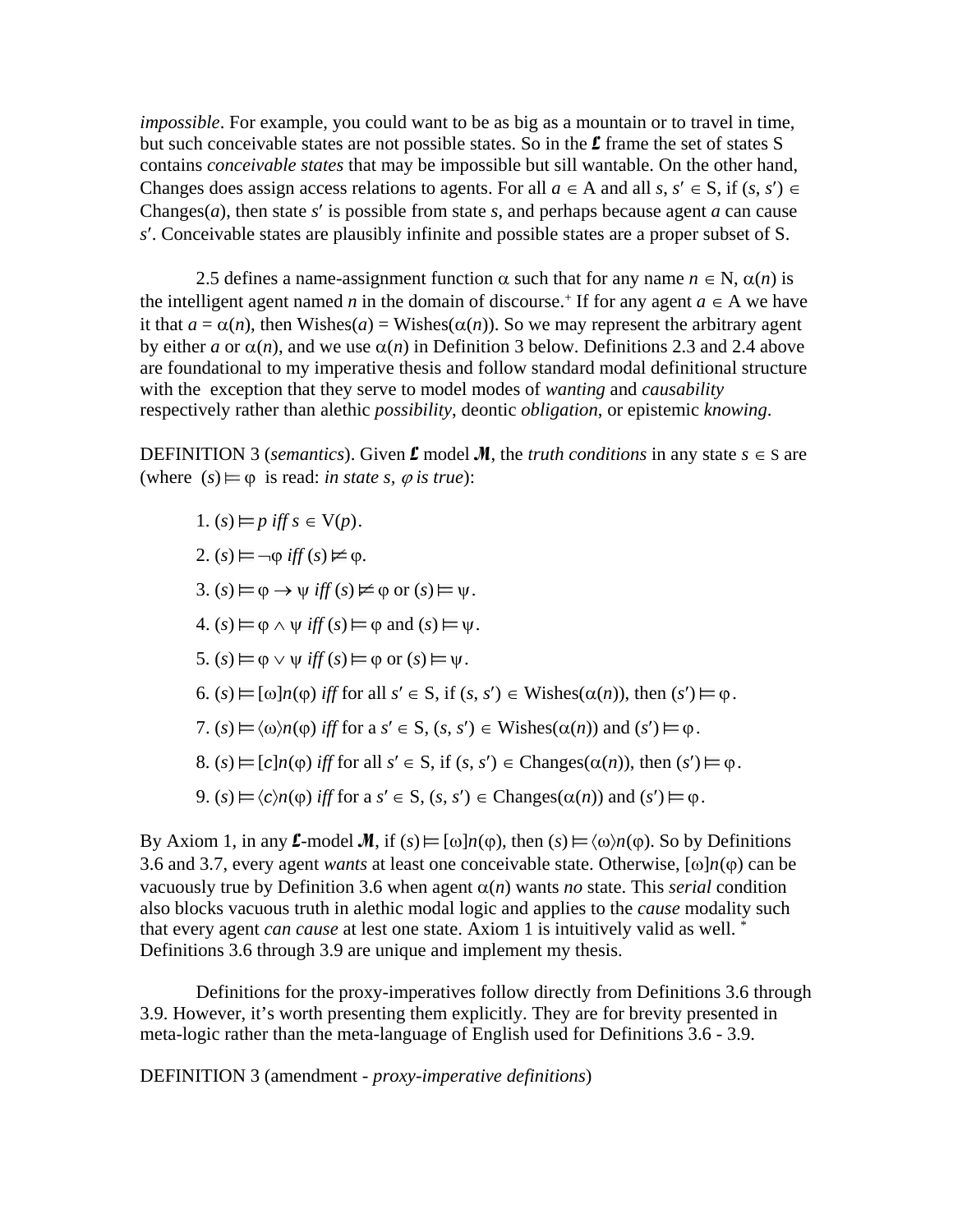*impossible*. For example, you could want to be as big as a mountain or to travel in time, but such conceivable states are not possible states. So in the  $\mathbf{\pounds}$  frame the set of states S contains *conceivable states* that may be impossible but sill wantable. On the other hand, Changes does assign access relations to agents. For all  $a \in A$  and all  $s, s' \in S$ , if  $(s, s') \in$ Changes(*a*), then state *s*′ is possible from state *s*, and perhaps because agent *a* can cause *s*′. Conceivable states are plausibly infinite and possible states are a proper subset of S.

2.5 defines a name-assignment function  $\alpha$  such that for any name  $n \in \mathbb{N}$ ,  $\alpha(n)$  is the intelligent agent named *n* in the domain of discourse.<sup>+</sup> If for any agent  $a \in A$  we have it that  $a = \alpha(n)$ , then Wishes( $a$ ) = Wishes( $\alpha(n)$ ). So we may represent the arbitrary agent by either *a* or  $\alpha(n)$ , and we use  $\alpha(n)$  in Definition 3 below. Definitions 2.3 and 2.4 above are foundational to my imperative thesis and follow standard modal definitional structure with the exception that they serve to model modes of *wanting* and *causability* respectively rather than alethic *possibility*, deontic *obligation*, or epistemic *knowing*.

DEFINITION 3 (*semantics*). Given **L** model **M**, the *truth conditions* in any state  $s \in S$  are (where  $(s) \models \varphi$  is read: *in state s,*  $\varphi$  *is true*):

- 1.  $(s) \models p$  iff  $s \in V(p)$ .
- $2. (s) \mapsto \neg \varphi \text{ iff } (s) \nvDash \varphi.$
- $3. (s) \vDash \varphi \rightarrow \psi \text{ iff } (s) \nvDash \varphi \text{ or } (s) \vDash \psi.$
- $4. (s) \vDash \varphi \land \psi \text{ iff } (s) \vDash \varphi \text{ and } (s) \vDash \psi.$
- 5.  $(s) \vDash \varphi \lor \psi$  *iff*  $(s) \vDash \varphi$  or  $(s) \vDash \psi$ .
- 6.  $(s) \vDash [\omega]n(\varphi)$  *iff* for all  $s' \in S$ , if  $(s, s') \in W$  ishes $(\alpha(n))$ , then  $(s') \vDash \varphi$ .
- 7.  $(s) \models \langle \omega \rangle n(\varphi)$  *iff* for a  $s' \in S$ ,  $(s, s') \in W$  ishes $(\alpha(n))$  and  $(s') \models \varphi$ .
- 8. (*s*)  $\models$   $[c]n(\emptyset)$  *iff* for all  $s' \in S$ , if  $(s, s') \in \text{Change}( \alpha(n) )$ , then  $(s') \models \emptyset$ .
- 9.  $(s) \vDash \langle c \rangle_n(\varphi)$  *iff* for a  $s' \in S$ ,  $(s, s') \in \text{Change}(\alpha(n))$  and  $(s') \vDash \varphi$ .

By Axiom 1, in any L-model M, if  $(s) \models [\omega] n(\varphi)$ , then  $(s) \models \langle \omega \rangle n(\varphi)$ . So by Definitions 3.6 and 3.7, every agent *wants* at least one conceivable state. Otherwise,  $[\omega]n(\varphi)$  can be vacuously true by Definition 3.6 when agent  $\alpha(n)$  wants *no* state. This *serial* condition also blocks vacuous truth in alethic modal logic and applies to the *cause* modality such that every agent *can cause* at lest one state. Axiom 1 is intuitively valid as well. \* Definitions 3.6 through 3.9 are unique and implement my thesis.

Definitions for the proxy-imperatives follow directly from Definitions 3.6 through 3.9. However, it's worth presenting them explicitly. They are for brevity presented in meta-logic rather than the meta-language of English used for Definitions 3.6 - 3.9.

DEFINITION 3 (amendment - *proxy-imperative definitions*)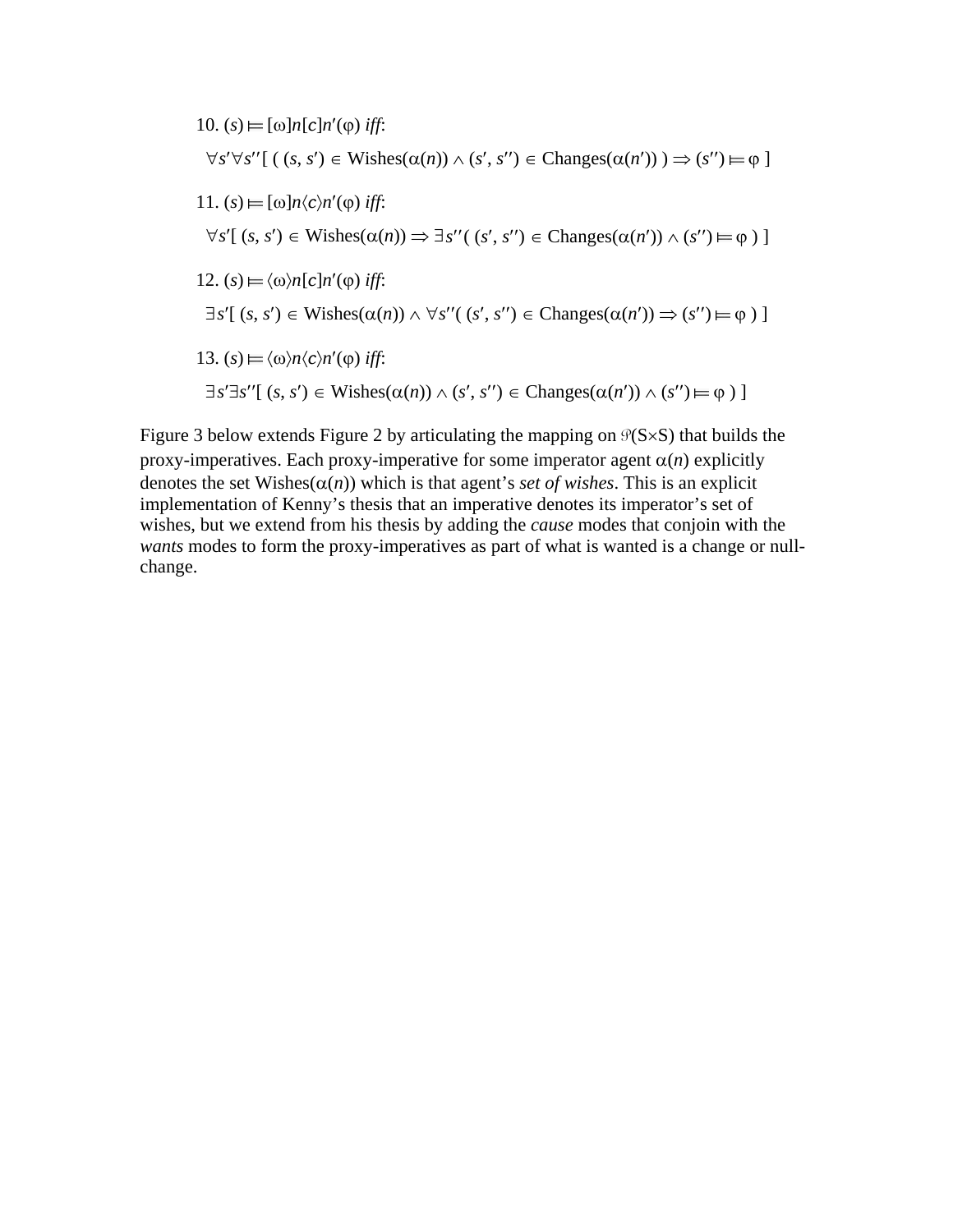\n- \n
$$
(0, s) \models [\omega] n[c] n'(\varphi) \text{ iff:}
$$
\n $\forall s' \forall s'' [ ( (s, s') \in \text{Wishes}(\alpha(n)) \land (s', s'') \in \text{Changes}(\alpha(n')) ) \Rightarrow (s'') \models \varphi ]$ \n
\n- \n $11. (s) \models [\omega] n \langle c \rangle n'(\varphi) \text{ iff:}$ \n $\forall s' [ (s, s') \in \text{Wishes}(\alpha(n)) \Rightarrow \exists s'' ( (s', s'') \in \text{Changes}(\alpha(n')) \land (s'') \models \varphi ) ]$ \n
\n- \n $12. (s) \models \langle \omega \rangle n[c] n'(\varphi) \text{ iff:}$ \n $\exists s' [ (s, s') \in \text{Wishes}(\alpha(n)) \land \forall s'' ( (s', s'') \in \text{Changes}(\alpha(n')) \Rightarrow (s'') \models \varphi ) ]$ \n
\n- \n $13. (s) \models \langle \omega \rangle n \langle c \rangle n'(\varphi) \text{ iff:}$ \n $\exists s' \exists s'' [ (s, s') \in \text{Wishes}(\alpha(n)) \land (s', s'') \in \text{Changes}(\alpha(n')) \land (s'') \models \varphi ) ]$ \n
\n

Figure 3 below extends Figure 2 by articulating the mapping on  $\mathcal{P}(S \times S)$  that builds the proxy-imperatives. Each proxy-imperative for some imperator agent  $\alpha(n)$  explicitly denotes the set Wishes( $\alpha(n)$ ) which is that agent's *set of wishes*. This is an explicit implementation of Kenny's thesis that an imperative denotes its imperator's set of wishes, but we extend from his thesis by adding the *cause* modes that conjoin with the *wants* modes to form the proxy-imperatives as part of what is wanted is a change or nullchange.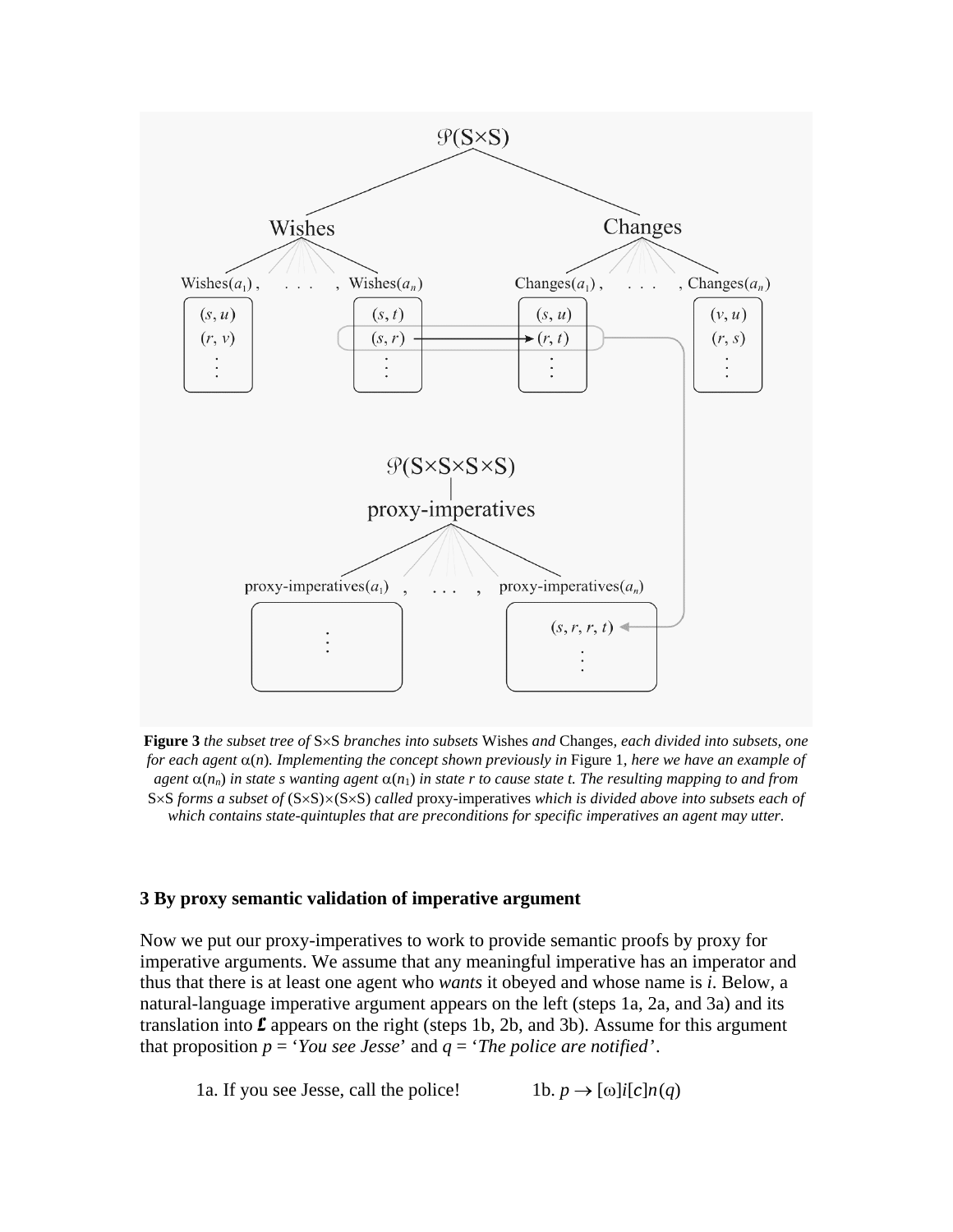

**Figure 3** *the subset tree of* S×S *branches into subsets* Wishes *and* Changes*, each divided into subsets, one for each agent* α(*n*)*. Implementing the concept shown previously in* Figure 1*, here we have an example of agent*  $\alpha(n_n)$  *in state s wanting agent*  $\alpha(n_1)$  *in state r to cause state t. The resulting mapping to and from* S×S *forms a subset of* (S×S)×(S×S) *called* proxy-imperatives *which is divided above into subsets each of which contains state-quintuples that are preconditions for specific imperatives an agent may utter.*

#### **3 By proxy semantic validation of imperative argument**

Now we put our proxy-imperatives to work to provide semantic proofs by proxy for imperative arguments. We assume that any meaningful imperative has an imperator and thus that there is at least one agent who *wants* it obeyed and whose name is *i*. Below, a natural-language imperative argument appears on the left (steps 1a, 2a, and 3a) and its translation into  $\mathcal L$  appears on the right (steps 1b, 2b, and 3b). Assume for this argument that proposition  $p = 'You see Jesse'$  and  $q = 'The police are notified'.$ 

1a. If you see Jesse, call the police! 1b.  $p \rightarrow \lceil \omega \rceil i \lceil c \rceil n(q)$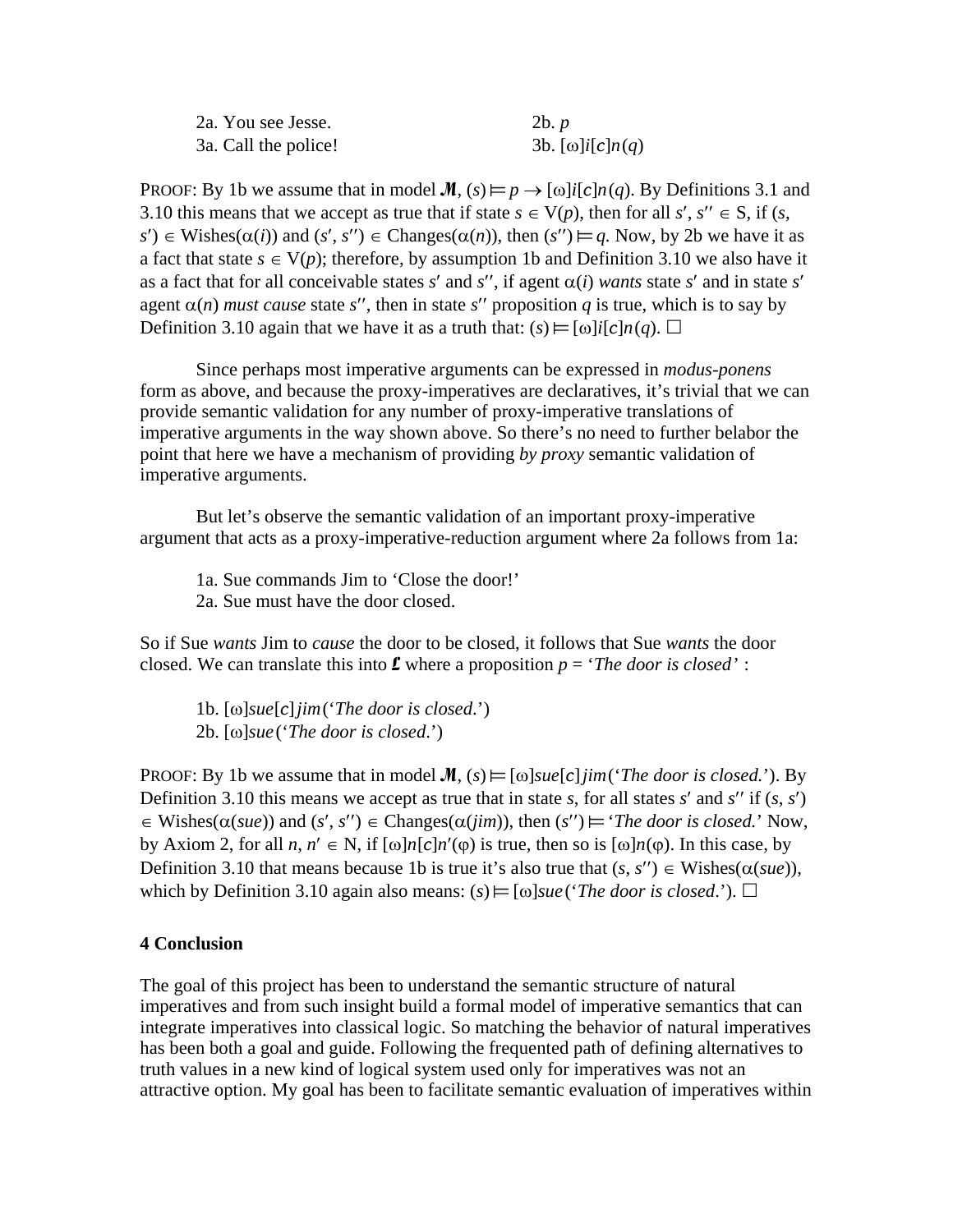| 2a. You see Jesse.   | 2b. p                                        |
|----------------------|----------------------------------------------|
| 3a. Call the police! | 3b. $[\omega]$ <i>i</i> $[c]$ <i>n</i> $(q)$ |

PROOF: By 1b we assume that in model  $\mathcal{M}$ ,  $(s) \vDash p \rightarrow [\omega]$ *i*[*c*]*n*(*q*). By Definitions 3.1 and 3.10 this means that we accept as true that if state  $s \in V(p)$ , then for all *s'*,  $s'' \in S$ , if (*s*,  $s'$ )  $\in$  Wishes( $\alpha(i)$ ) and (*s'*, *s''*)  $\in$  Changes( $\alpha(n)$ ), then (*s''*)  $\models q$ . Now, by 2b we have it as a fact that state  $s \in V(p)$ ; therefore, by assumption 1b and Definition 3.10 we also have it as a fact that for all conceivable states  $s'$  and  $s''$ , if agent  $\alpha(i)$  *wants* state  $s'$  and in state  $s'$ agent  $\alpha(n)$  *must cause* state *s''*, then in state *s''* proposition *q* is true, which is to say by Definition 3.10 again that we have it as a truth that:  $(s) \models [\omega] i[c] n(q)$ .

Since perhaps most imperative arguments can be expressed in *modus-ponens* form as above, and because the proxy-imperatives are declaratives, it's trivial that we can provide semantic validation for any number of proxy-imperative translations of imperative arguments in the way shown above. So there's no need to further belabor the point that here we have a mechanism of providing *by proxy* semantic validation of imperative arguments.

But let's observe the semantic validation of an important proxy-imperative argument that acts as a proxy-imperative-reduction argument where 2a follows from 1a:

1a. Sue commands Jim to 'Close the door!' 2a. Sue must have the door closed.

So if Sue *wants* Jim to *cause* the door to be closed, it follows that Sue *wants* the door closed. We can translate this into  $\mathbf{\mathcal{L}}$  where a proposition  $p = 'The door is closed'$ :

1b. [ω]*sue*[*c*]*jim*('*The door is closed*.') 2b. [ω]*sue*('*The door is closed*.')

PROOF: By 1b we assume that in model  $M$ ,  $(s) \vDash [\omega] \text{sue}[\varepsilon] \text{jim}$  (*The door is closed.*'). By Definition 3.10 this means we accept as true that in state *s*, for all states  $s'$  and  $s''$  if  $(s, s')$  $\in$  Wishes( $\alpha(sue)$ ) and  $(s', s'') \in$  Changes( $\alpha(jim)$ ), then  $(s'') \models$  *The door is closed.*' Now, by Axiom 2, for all *n*,  $n' \in N$ , if  $\lceil \omega \rceil n \lceil c \rceil n'(\varphi)$  is true, then so is  $\lceil \omega \rceil n(\varphi)$ . In this case, by Definition 3.10 that means because 1b is true it's also true that  $(s, s'') \in Wishes(\alpha(sue))$ , which by Definition 3.10 again also means:  $(s) \vDash [\omega] \mathit{sue}$  (*The door is closed.*).  $\square$ 

#### **4 Conclusion**

The goal of this project has been to understand the semantic structure of natural imperatives and from such insight build a formal model of imperative semantics that can integrate imperatives into classical logic. So matching the behavior of natural imperatives has been both a goal and guide. Following the frequented path of defining alternatives to truth values in a new kind of logical system used only for imperatives was not an attractive option. My goal has been to facilitate semantic evaluation of imperatives within